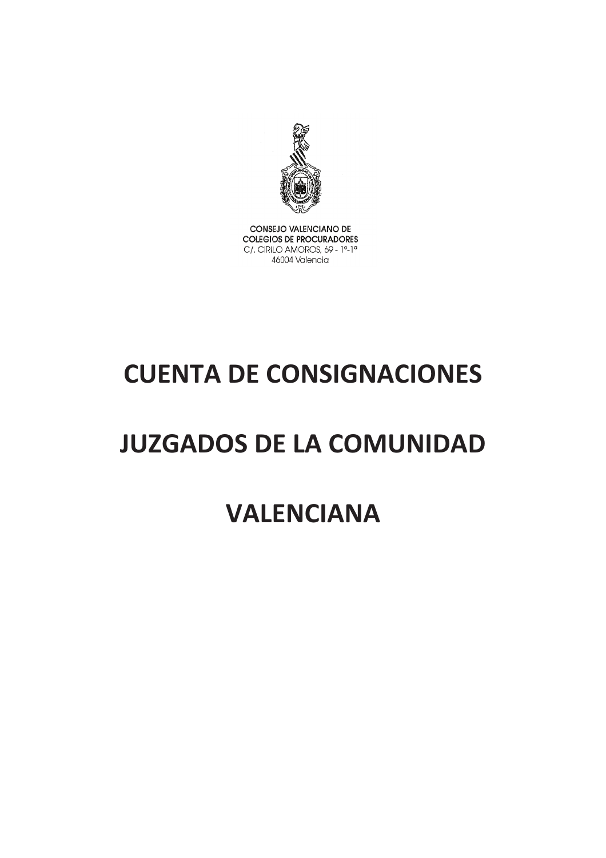

CONSEJO VALENCIANO DE **COLEGIOS DE PROCURADORES** C/. CIRILO AMOROS, 69 - 1º-1ª 46004 Valencia

# **CUENTA DE CONSIGNACIONES**

# **JUZGADOS DE LA COMUNIDAD**

## **VALENCIANA**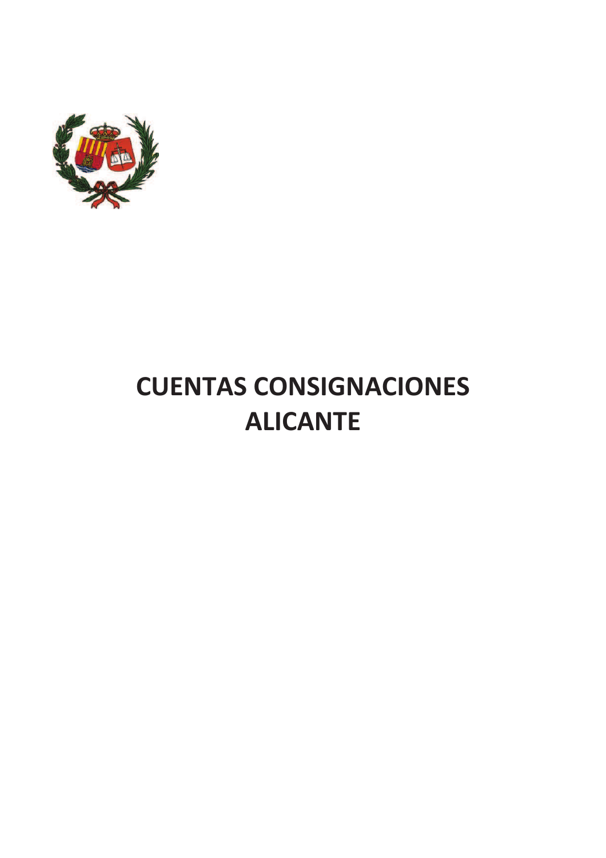

# **CUENTAS CONSIGNACIONES ALICANTE**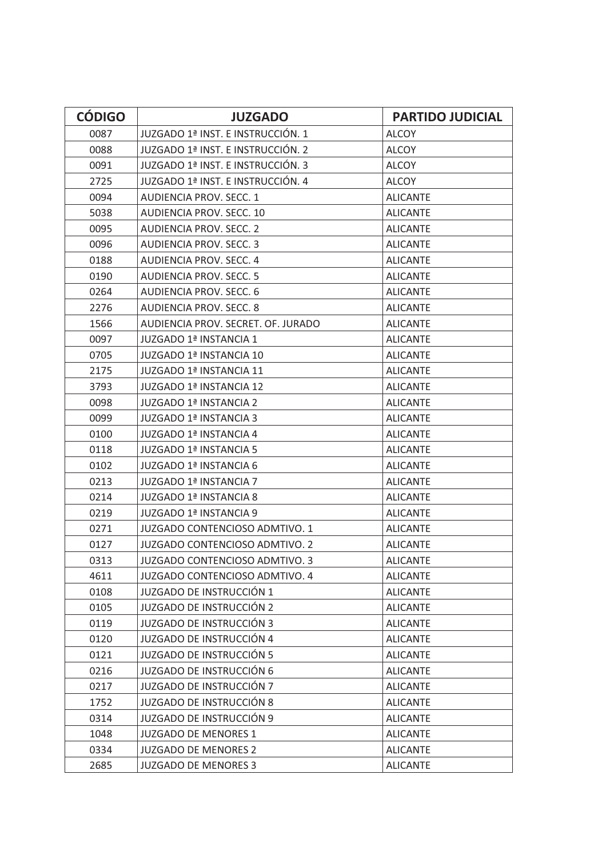| <b>CÓDIGO</b> | <b>JUZGADO</b>                        | <b>PARTIDO JUDICIAL</b> |
|---------------|---------------------------------------|-------------------------|
| 0087          | JUZGADO 1ª INST. E INSTRUCCIÓN. 1     | <b>ALCOY</b>            |
| 0088          | JUZGADO 1ª INST. E INSTRUCCIÓN. 2     | <b>ALCOY</b>            |
| 0091          | JUZGADO 1ª INST. E INSTRUCCIÓN. 3     | <b>ALCOY</b>            |
| 2725          | JUZGADO 1ª INST. E INSTRUCCIÓN. 4     | <b>ALCOY</b>            |
| 0094          | <b>AUDIENCIA PROV. SECC. 1</b>        | <b>ALICANTE</b>         |
| 5038          | AUDIENCIA PROV. SECC. 10              | <b>ALICANTE</b>         |
| 0095          | <b>AUDIENCIA PROV. SECC. 2</b>        | <b>ALICANTE</b>         |
| 0096          | <b>AUDIENCIA PROV. SECC. 3</b>        | <b>ALICANTE</b>         |
| 0188          | AUDIENCIA PROV. SECC. 4               | <b>ALICANTE</b>         |
| 0190          | <b>AUDIENCIA PROV. SECC. 5</b>        | <b>ALICANTE</b>         |
| 0264          | <b>AUDIENCIA PROV. SECC. 6</b>        | <b>ALICANTE</b>         |
| 2276          | <b>AUDIENCIA PROV. SECC. 8</b>        | <b>ALICANTE</b>         |
| 1566          | AUDIENCIA PROV. SECRET. OF. JURADO    | <b>ALICANTE</b>         |
| 0097          | JUZGADO 1ª INSTANCIA 1                | <b>ALICANTE</b>         |
| 0705          | <b>JUZGADO 1ª INSTANCIA 10</b>        | <b>ALICANTE</b>         |
| 2175          | <b>JUZGADO 1ª INSTANCIA 11</b>        | <b>ALICANTE</b>         |
| 3793          | JUZGADO 1ª INSTANCIA 12               | <b>ALICANTE</b>         |
| 0098          | JUZGADO 1ª INSTANCIA 2                | <b>ALICANTE</b>         |
| 0099          | JUZGADO 1ª INSTANCIA 3                | <b>ALICANTE</b>         |
| 0100          | <b>JUZGADO 1ª INSTANCIA 4</b>         | <b>ALICANTE</b>         |
| 0118          | JUZGADO 1ª INSTANCIA 5                | <b>ALICANTE</b>         |
| 0102          | JUZGADO 1ª INSTANCIA 6                | <b>ALICANTE</b>         |
| 0213          | JUZGADO 1ª INSTANCIA 7                | <b>ALICANTE</b>         |
| 0214          | JUZGADO 1ª INSTANCIA 8                | <b>ALICANTE</b>         |
| 0219          | JUZGADO 1ª INSTANCIA 9                | <b>ALICANTE</b>         |
| 0271          | <b>JUZGADO CONTENCIOSO ADMTIVO. 1</b> | <b>ALICANTE</b>         |
| 0127          | JUZGADO CONTENCIOSO ADMTIVO. 2        | <b>ALICANTE</b>         |
| 0313          | JUZGADO CONTENCIOSO ADMTIVO. 3        | <b>ALICANTE</b>         |
| 4611          | JUZGADO CONTENCIOSO ADMTIVO. 4        | <b>ALICANTE</b>         |
| 0108          | JUZGADO DE INSTRUCCIÓN 1              | <b>ALICANTE</b>         |
| 0105          | <b>JUZGADO DE INSTRUCCIÓN 2</b>       | <b>ALICANTE</b>         |
| 0119          | <b>JUZGADO DE INSTRUCCIÓN 3</b>       | <b>ALICANTE</b>         |
| 0120          | <b>JUZGADO DE INSTRUCCIÓN 4</b>       | <b>ALICANTE</b>         |
| 0121          | <b>JUZGADO DE INSTRUCCIÓN 5</b>       | <b>ALICANTE</b>         |
| 0216          | <b>JUZGADO DE INSTRUCCIÓN 6</b>       | <b>ALICANTE</b>         |
| 0217          | <b>JUZGADO DE INSTRUCCIÓN 7</b>       | <b>ALICANTE</b>         |
| 1752          | <b>JUZGADO DE INSTRUCCIÓN 8</b>       | <b>ALICANTE</b>         |
| 0314          | <b>JUZGADO DE INSTRUCCIÓN 9</b>       | <b>ALICANTE</b>         |
| 1048          | <b>JUZGADO DE MENORES 1</b>           | <b>ALICANTE</b>         |
| 0334          | <b>JUZGADO DE MENORES 2</b>           | <b>ALICANTE</b>         |
| 2685          | <b>JUZGADO DE MENORES 3</b>           | <b>ALICANTE</b>         |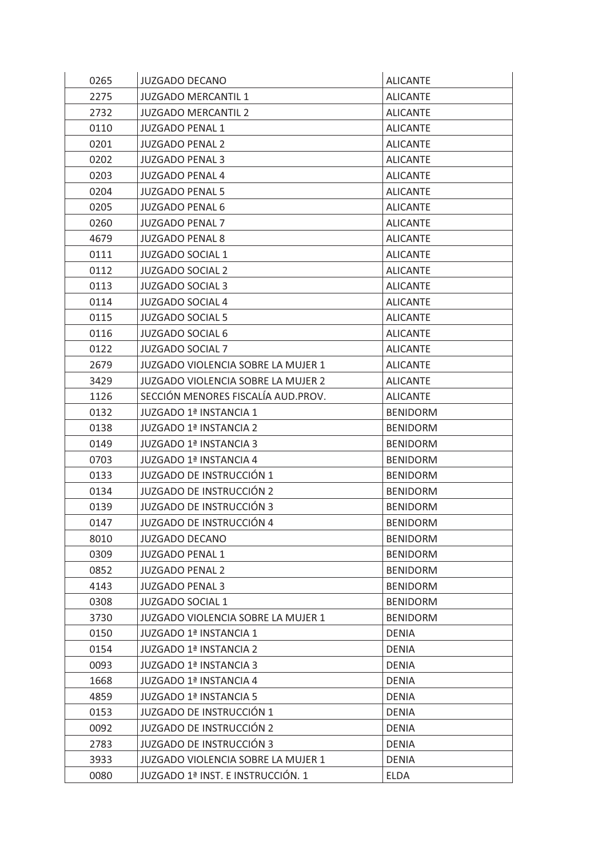| 0265 | JUZGADO DECANO                     | <b>ALICANTE</b> |
|------|------------------------------------|-----------------|
| 2275 | <b>JUZGADO MERCANTIL 1</b>         | <b>ALICANTE</b> |
| 2732 | <b>JUZGADO MERCANTIL 2</b>         | <b>ALICANTE</b> |
| 0110 | <b>JUZGADO PENAL 1</b>             | <b>ALICANTE</b> |
| 0201 | <b>JUZGADO PENAL 2</b>             | <b>ALICANTE</b> |
| 0202 | <b>JUZGADO PENAL 3</b>             | <b>ALICANTE</b> |
| 0203 | <b>JUZGADO PENAL 4</b>             | <b>ALICANTE</b> |
| 0204 | <b>JUZGADO PENAL 5</b>             | <b>ALICANTE</b> |
| 0205 | <b>JUZGADO PENAL 6</b>             | <b>ALICANTE</b> |
| 0260 | <b>JUZGADO PENAL 7</b>             | <b>ALICANTE</b> |
| 4679 | <b>JUZGADO PENAL 8</b>             | <b>ALICANTE</b> |
| 0111 | <b>JUZGADO SOCIAL 1</b>            | <b>ALICANTE</b> |
| 0112 | <b>JUZGADO SOCIAL 2</b>            | <b>ALICANTE</b> |
| 0113 | <b>JUZGADO SOCIAL 3</b>            | <b>ALICANTE</b> |
| 0114 | <b>JUZGADO SOCIAL 4</b>            | <b>ALICANTE</b> |
| 0115 | <b>JUZGADO SOCIAL 5</b>            | <b>ALICANTE</b> |
| 0116 | <b>JUZGADO SOCIAL 6</b>            | <b>ALICANTE</b> |
| 0122 | <b>JUZGADO SOCIAL 7</b>            | <b>ALICANTE</b> |
| 2679 | JUZGADO VIOLENCIA SOBRE LA MUJER 1 | <b>ALICANTE</b> |
| 3429 | JUZGADO VIOLENCIA SOBRE LA MUJER 2 | <b>ALICANTE</b> |
| 1126 | SECCIÓN MENORES FISCALÍA AUD.PROV. | <b>ALICANTE</b> |
| 0132 | JUZGADO 1ª INSTANCIA 1             | <b>BENIDORM</b> |
| 0138 | JUZGADO 1ª INSTANCIA 2             | <b>BENIDORM</b> |
| 0149 | JUZGADO 1ª INSTANCIA 3             | <b>BENIDORM</b> |
| 0703 | JUZGADO 1ª INSTANCIA 4             | <b>BENIDORM</b> |
| 0133 | JUZGADO DE INSTRUCCIÓN 1           | <b>BENIDORM</b> |
| 0134 | <b>JUZGADO DE INSTRUCCIÓN 2</b>    | <b>BENIDORM</b> |
| 0139 | <b>JUZGADO DE INSTRUCCIÓN 3</b>    | <b>BENIDORM</b> |
| 0147 | <b>JUZGADO DE INSTRUCCIÓN 4</b>    | <b>BENIDORM</b> |
| 8010 | <b>JUZGADO DECANO</b>              | <b>BENIDORM</b> |
| 0309 | <b>JUZGADO PENAL 1</b>             | <b>BENIDORM</b> |
| 0852 | <b>JUZGADO PENAL 2</b>             | <b>BENIDORM</b> |
| 4143 | <b>JUZGADO PENAL 3</b>             | <b>BENIDORM</b> |
| 0308 | <b>JUZGADO SOCIAL 1</b>            | <b>BENIDORM</b> |
| 3730 | JUZGADO VIOLENCIA SOBRE LA MUJER 1 | <b>BENIDORM</b> |
| 0150 | JUZGADO 1ª INSTANCIA 1             | <b>DENIA</b>    |
| 0154 | JUZGADO 1ª INSTANCIA 2             | <b>DENIA</b>    |
| 0093 | JUZGADO 1ª INSTANCIA 3             | <b>DENIA</b>    |
| 1668 | JUZGADO 1ª INSTANCIA 4             | <b>DENIA</b>    |
| 4859 | JUZGADO 1ª INSTANCIA 5             | <b>DENIA</b>    |
| 0153 | JUZGADO DE INSTRUCCIÓN 1           | <b>DENIA</b>    |
| 0092 | <b>JUZGADO DE INSTRUCCIÓN 2</b>    | <b>DENIA</b>    |
| 2783 | <b>JUZGADO DE INSTRUCCIÓN 3</b>    | <b>DENIA</b>    |
| 3933 | JUZGADO VIOLENCIA SOBRE LA MUJER 1 | DENIA           |
| 0080 | JUZGADO 1ª INST. E INSTRUCCIÓN. 1  | <b>ELDA</b>     |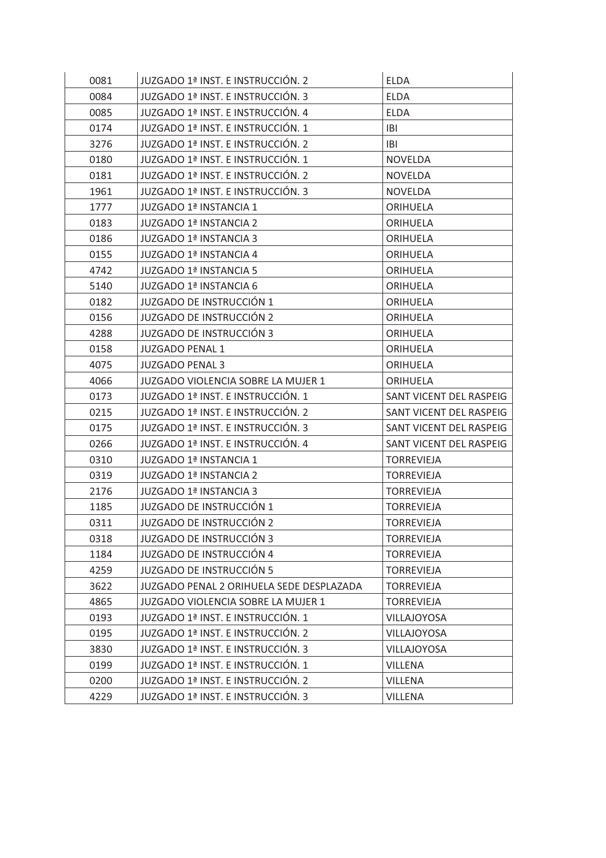| 0081 | JUZGADO 1ª INST. E INSTRUCCIÓN. 2        | <b>ELDA</b>             |
|------|------------------------------------------|-------------------------|
| 0084 | JUZGADO 1ª INST. E INSTRUCCIÓN. 3        | <b>ELDA</b>             |
| 0085 | JUZGADO 1ª INST. E INSTRUCCIÓN. 4        | <b>ELDA</b>             |
| 0174 | JUZGADO 1ª INST. E INSTRUCCIÓN. 1        | <b>IBI</b>              |
| 3276 | JUZGADO 1ª INST. E INSTRUCCIÓN. 2        | IBI                     |
| 0180 | JUZGADO 1ª INST. E INSTRUCCIÓN. 1        | <b>NOVELDA</b>          |
| 0181 | JUZGADO 1ª INST. E INSTRUCCIÓN. 2        | <b>NOVELDA</b>          |
| 1961 | JUZGADO 1ª INST. E INSTRUCCIÓN. 3        | <b>NOVELDA</b>          |
| 1777 | <b>JUZGADO 1ª INSTANCIA 1</b>            | <b>ORIHUELA</b>         |
| 0183 | JUZGADO 1ª INSTANCIA 2                   | ORIHUELA                |
| 0186 | JUZGADO 1ª INSTANCIA 3                   | ORIHUELA                |
| 0155 | JUZGADO 1ª INSTANCIA 4                   | <b>ORIHUELA</b>         |
| 4742 | JUZGADO 1ª INSTANCIA 5                   | <b>ORIHUELA</b>         |
| 5140 | JUZGADO 1ª INSTANCIA 6                   | <b>ORIHUELA</b>         |
| 0182 | JUZGADO DE INSTRUCCIÓN 1                 | <b>ORIHUELA</b>         |
| 0156 | JUZGADO DE INSTRUCCIÓN 2                 | <b>ORIHUELA</b>         |
| 4288 | <b>JUZGADO DE INSTRUCCIÓN 3</b>          | <b>ORIHUELA</b>         |
| 0158 | <b>JUZGADO PENAL 1</b>                   | <b>ORIHUELA</b>         |
| 4075 | <b>JUZGADO PENAL 3</b>                   | <b>ORIHUELA</b>         |
| 4066 | JUZGADO VIOLENCIA SOBRE LA MUJER 1       | <b>ORIHUELA</b>         |
| 0173 | JUZGADO 1ª INST. E INSTRUCCIÓN. 1        | SANT VICENT DEL RASPEIG |
| 0215 | JUZGADO 1ª INST. E INSTRUCCIÓN. 2        | SANT VICENT DEL RASPEIG |
| 0175 | JUZGADO 1ª INST. E INSTRUCCIÓN. 3        | SANT VICENT DEL RASPEIG |
| 0266 | JUZGADO 1ª INST. E INSTRUCCIÓN. 4        | SANT VICENT DEL RASPEIG |
| 0310 | JUZGADO 1ª INSTANCIA 1                   | <b>TORREVIEJA</b>       |
| 0319 | JUZGADO 1ª INSTANCIA 2                   | <b>TORREVIEJA</b>       |
| 2176 | JUZGADO 1ª INSTANCIA 3                   | <b>TORREVIEJA</b>       |
| 1185 | JUZGADO DE INSTRUCCIÓN 1                 | <b>TORREVIEJA</b>       |
| 0311 | JUZGADO DE INSTRUCCIÓN 2                 | <b>TORREVIEJA</b>       |
| 0318 | <b>JUZGADO DE INSTRUCCIÓN 3</b>          | <b>TORREVIEJA</b>       |
| 1184 | <b>JUZGADO DE INSTRUCCIÓN 4</b>          | <b>TORREVIEJA</b>       |
| 4259 | <b>JUZGADO DE INSTRUCCIÓN 5</b>          | <b>TORREVIEJA</b>       |
| 3622 | JUZGADO PENAL 2 ORIHUELA SEDE DESPLAZADA | <b>TORREVIEJA</b>       |
| 4865 | JUZGADO VIOLENCIA SOBRE LA MUJER 1       | <b>TORREVIEJA</b>       |
| 0193 | JUZGADO 1ª INST. E INSTRUCCIÓN. 1        | <b>VILLAJOYOSA</b>      |
| 0195 | JUZGADO 1ª INST. E INSTRUCCIÓN. 2        | <b>VILLAJOYOSA</b>      |
| 3830 | JUZGADO 1ª INST. E INSTRUCCIÓN. 3        | <b>VILLAJOYOSA</b>      |
| 0199 | JUZGADO 1ª INST. E INSTRUCCIÓN. 1        | <b>VILLENA</b>          |
| 0200 | JUZGADO 1ª INST. E INSTRUCCIÓN. 2        | <b>VILLENA</b>          |
| 4229 | JUZGADO 1ª INST. E INSTRUCCIÓN. 3        | VILLENA                 |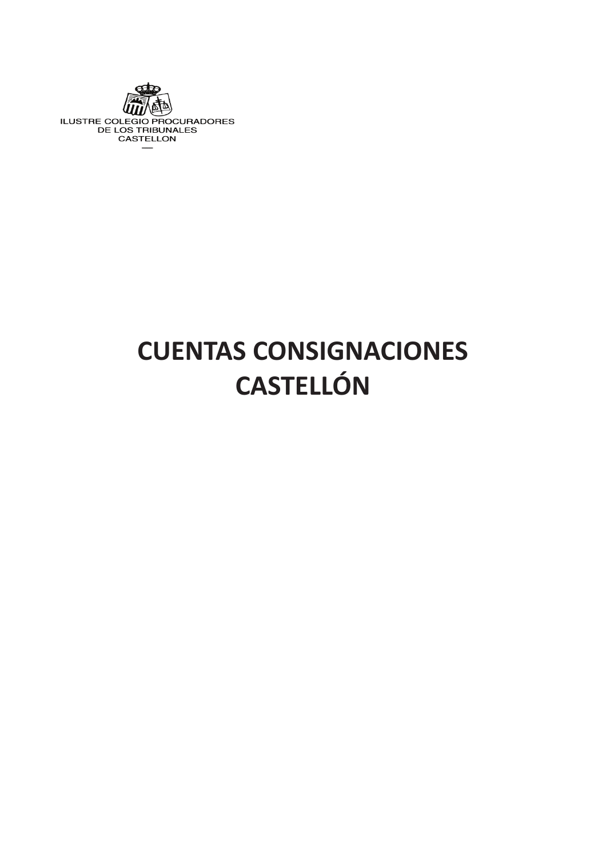

# **CUENTAS CONSIGNACIONES CASTELLÓN**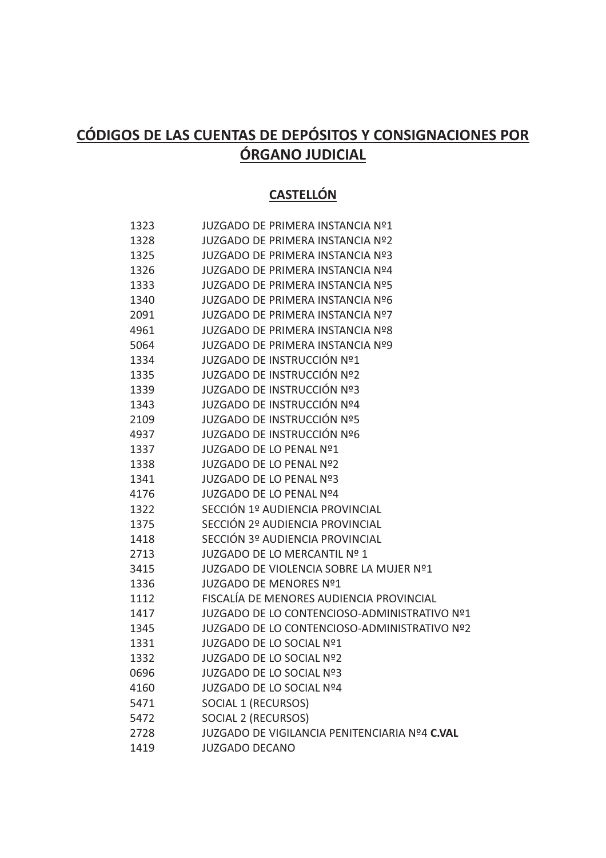## **CÓDIGOS DE LAS CUENTAS DE DEPÓSITOS Y CONSIGNACIONES POR ÓRGANO JUDICIAL**

### **CASTELLÓN**

| 1323 | <b>JUZGADO DE PRIMERA INSTANCIA Nº1</b>       |
|------|-----------------------------------------------|
| 1328 | <b>JUZGADO DE PRIMERA INSTANCIA Nº2</b>       |
| 1325 | <b>JUZGADO DE PRIMERA INSTANCIA Nº3</b>       |
| 1326 | <b>JUZGADO DE PRIMERA INSTANCIA Nº4</b>       |
| 1333 | <b>JUZGADO DE PRIMERA INSTANCIA Nº5</b>       |
| 1340 | <b>JUZGADO DE PRIMERA INSTANCIA Nº6</b>       |
| 2091 | <b>JUZGADO DE PRIMERA INSTANCIA Nº7</b>       |
| 4961 | <b>JUZGADO DE PRIMERA INSTANCIA Nº8</b>       |
| 5064 | <b>JUZGADO DE PRIMERA INSTANCIA Nº9</b>       |
| 1334 | JUZGADO DE INSTRUCCIÓN Nº1                    |
| 1335 | JUZGADO DE INSTRUCCIÓN Nº2                    |
| 1339 | JUZGADO DE INSTRUCCIÓN Nº3                    |
| 1343 | JUZGADO DE INSTRUCCIÓN Nº4                    |
| 2109 | JUZGADO DE INSTRUCCIÓN Nº5                    |
| 4937 | JUZGADO DE INSTRUCCIÓN Nº6                    |
| 1337 | JUZGADO DE LO PENAL Nº1                       |
| 1338 | JUZGADO DE LO PENAL Nº2                       |
| 1341 | JUZGADO DE LO PENAL Nº3                       |
| 4176 | <b>JUZGADO DE LO PENAL Nº4</b>                |
| 1322 | SECCIÓN 1º AUDIENCIA PROVINCIAL               |
| 1375 | SECCIÓN 2º AUDIENCIA PROVINCIAL               |
| 1418 | SECCIÓN 3º AUDIENCIA PROVINCIAL               |
| 2713 | JUZGADO DE LO MERCANTIL Nº 1                  |
| 3415 | JUZGADO DE VIOLENCIA SOBRE LA MUJER Nº1       |
| 1336 | JUZGADO DE MENORES Nº1                        |
| 1112 | FISCALÍA DE MENORES AUDIENCIA PROVINCIAL      |
| 1417 | JUZGADO DE LO CONTENCIOSO-ADMINISTRATIVO Nº1  |
| 1345 | JUZGADO DE LO CONTENCIOSO-ADMINISTRATIVO Nº2  |
| 1331 | JUZGADO DE LO SOCIAL Nº1                      |
| 1332 | JUZGADO DE LO SOCIAL Nº2                      |
| 0696 | JUZGADO DE LO SOCIAL Nº3                      |
| 4160 | JUZGADO DE LO SOCIAL Nº4                      |
| 5471 | SOCIAL 1 (RECURSOS)                           |
| 5472 | SOCIAL 2 (RECURSOS)                           |
| 2728 | JUZGADO DE VIGILANCIA PENITENCIARIA Nº4 C.VAL |
| 1419 | <b>JUZGADO DECANO</b>                         |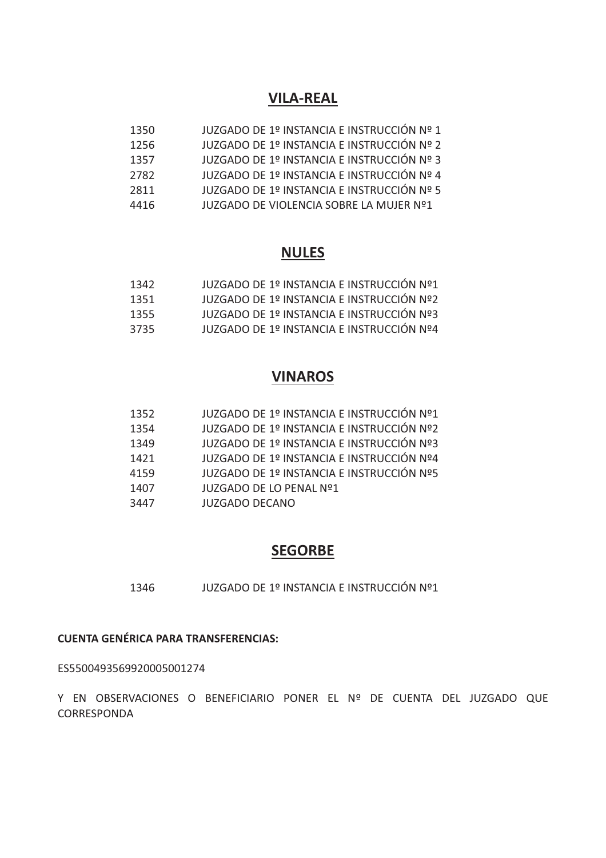### **VILA-REAL**

| 1350 | JUZGADO DE 1º INSTANCIA E INSTRUCCIÓN Nº 1 |
|------|--------------------------------------------|
| 1256 | JUZGADO DE 1º INSTANCIA E INSTRUCCIÓN Nº 2 |
| 1357 | JUZGADO DE 1º INSTANCIA E INSTRUCCIÓN Nº 3 |
| 2782 | JUZGADO DE 1º INSTANCIA E INSTRUCCIÓN Nº 4 |
| 2811 | JUZGADO DE 1º INSTANCIA E INSTRUCCIÓN Nº 5 |
| 4416 | JUZGADO DE VIOLENCIA SOBRE LA MUJER Nº1    |

### **NULES**

| 1342 | JUZGADO DE 1º INSTANCIA E INSTRUCCIÓN Nº1 |
|------|-------------------------------------------|
| 1351 | JUZGADO DE 1º INSTANCIA E INSTRUCCIÓN Nº2 |
| 1355 | JUZGADO DE 1º INSTANCIA E INSTRUCCIÓN Nº3 |
| 3735 | JUZGADO DE 1º INSTANCIA E INSTRUCCIÓN Nº4 |

### **VINAROS**

| 1352 | JUZGADO DE 1º INSTANCIA E INSTRUCCIÓN Nº1 |
|------|-------------------------------------------|
| 1354 | JUZGADO DE 1º INSTANCIA E INSTRUCCIÓN Nº2 |
| 1349 | JUZGADO DE 1º INSTANCIA E INSTRUCCIÓN Nº3 |
| 1421 | JUZGADO DE 1º INSTANCIA E INSTRUCCIÓN Nº4 |
| 4159 | JUZGADO DE 1º INSTANCIA E INSTRUCCIÓN Nº5 |
| 1407 | JUZGADO DE LO PENAL Nº1                   |
| 3447 | <b>JUZGADO DECANO</b>                     |

### **SEGORBE**

1346 JUZGADO DE 1º INSTANCIA E INSTRUCCIÓN Nº1

### **CUENTA GENÉRICA PARA TRANSFERENCIAS:**

ES5500493569920005001274

Y EN OBSERVACIONES O BENEFICIARIO PONER EL Nº DE CUENTA DEL JUZGADO QUE CORRESPONDA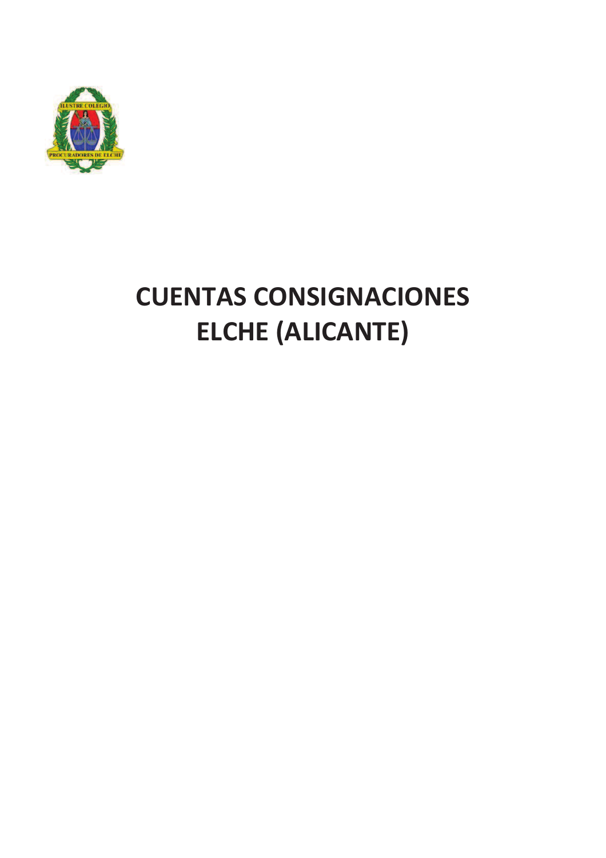

# **CUENTAS CONSIGNACIONES ELCHE (ALICANTE)**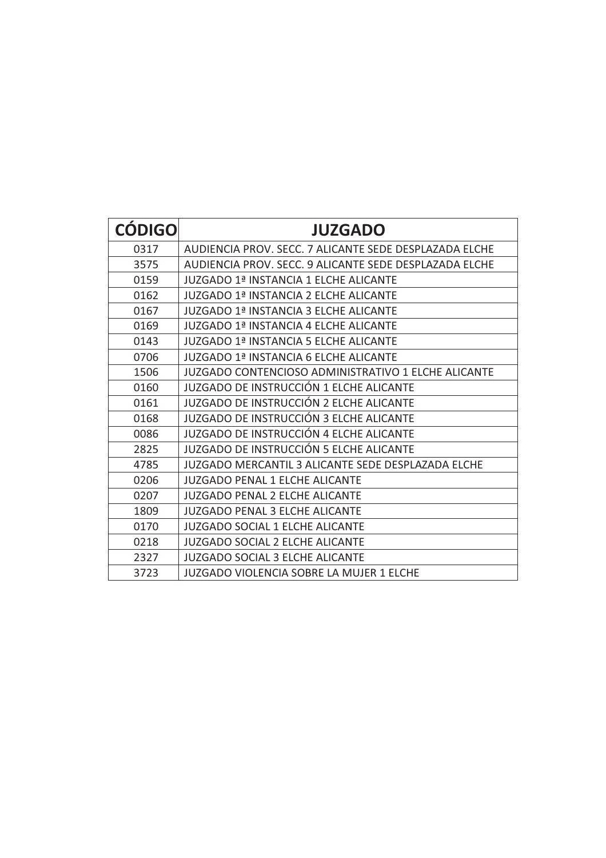| <b>CÓDIGO</b> | <b>JUZGADO</b>                                            |
|---------------|-----------------------------------------------------------|
| 0317          | AUDIENCIA PROV. SECC. 7 ALICANTE SEDE DESPLAZADA ELCHE    |
| 3575          | AUDIENCIA PROV. SECC. 9 ALICANTE SEDE DESPLAZADA ELCHE    |
| 0159          | JUZGADO 1ª INSTANCIA 1 ELCHE ALICANTE                     |
| 0162          | <b>JUZGADO 1ª INSTANCIA 2 ELCHE ALICANTE</b>              |
| 0167          | <b>JUZGADO 1ª INSTANCIA 3 ELCHE ALICANTE</b>              |
| 0169          | <b>JUZGADO 1ª INSTANCIA 4 ELCHE ALICANTE</b>              |
| 0143          | <b>JUZGADO 1ª INSTANCIA 5 ELCHE ALICANTE</b>              |
| 0706          | JUZGADO 1ª INSTANCIA 6 ELCHE ALICANTE                     |
| 1506          | JUZGADO CONTENCIOSO ADMINISTRATIVO 1 ELCHE ALICANTE       |
| 0160          | JUZGADO DE INSTRUCCIÓN 1 ELCHE ALICANTE                   |
| 0161          | JUZGADO DE INSTRUCCIÓN 2 ELCHE ALICANTE                   |
| 0168          | JUZGADO DE INSTRUCCIÓN 3 ELCHE ALICANTE                   |
| 0086          | JUZGADO DE INSTRUCCIÓN 4 ELCHE ALICANTE                   |
| 2825          | JUZGADO DE INSTRUCCIÓN 5 ELCHE ALICANTE                   |
| 4785          | <b>JUZGADO MERCANTIL 3 ALICANTE SEDE DESPLAZADA ELCHE</b> |
| 0206          | <b>JUZGADO PENAL 1 ELCHE ALICANTE</b>                     |
| 0207          | <b>JUZGADO PENAL 2 ELCHE ALICANTE</b>                     |
| 1809          | <b>JUZGADO PENAL 3 ELCHE ALICANTE</b>                     |
| 0170          | JUZGADO SOCIAL 1 ELCHE ALICANTE                           |
| 0218          | <b>JUZGADO SOCIAL 2 ELCHE ALICANTE</b>                    |
| 2327          | <b>JUZGADO SOCIAL 3 ELCHE ALICANTE</b>                    |
| 3723          | <b>JUZGADO VIOLENCIA SOBRE LA MUJER 1 ELCHE</b>           |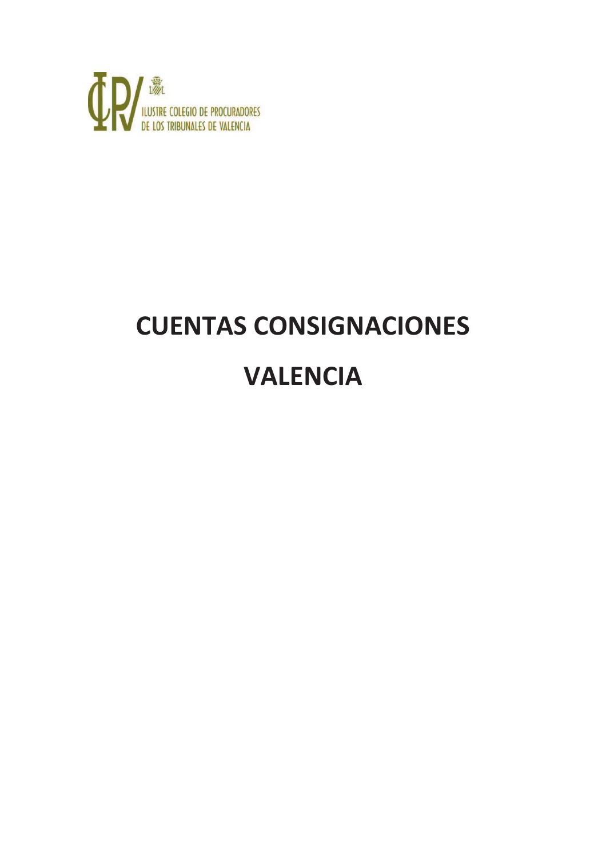

# **CUENTAS CONSIGNACIONES VALENCIA**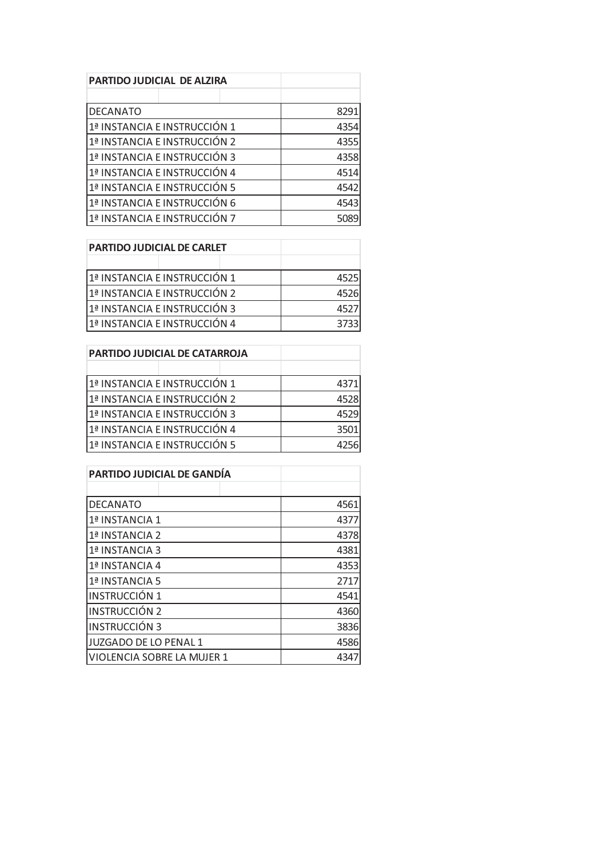| <b>PARTIDO JUDICIAL DE ALZIRA</b> |  |  |      |
|-----------------------------------|--|--|------|
|                                   |  |  |      |
| <b>DECANATO</b>                   |  |  | 8291 |
| 1ª INSTANCIA E INSTRUCCIÓN 1      |  |  | 4354 |
| 1ª INSTANCIA E INSTRUCCIÓN 2      |  |  | 4355 |
| 1ª INSTANCIA E INSTRUCCIÓN 3      |  |  | 4358 |
| 1ª INSTANCIA E INSTRUCCIÓN 4      |  |  | 4514 |
| 1ª INSTANCIA E INSTRUCCIÓN 5      |  |  | 4542 |
| 1ª INSTANCIA E INSTRUCCIÓN 6      |  |  | 4543 |
| 1ª INSTANCIA E INSTRUCCIÓN 7      |  |  | 5089 |

| <b>PARTIDO JUDICIAL DE CARLET</b> |      |  |
|-----------------------------------|------|--|
|                                   |      |  |
| 1ª INSTANCIA E INSTRUCCIÓN 1      | 4525 |  |
| 1ª INSTANCIA E INSTRUCCIÓN 2      | 4526 |  |
| 1ª INSTANCIA E INSTRUCCIÓN 3      | 4527 |  |
| 1ª INSTANCIA E INSTRUCCIÓN 4      | 3733 |  |

| <b>PARTIDO JUDICIAL DE CATARROJA</b> |      |
|--------------------------------------|------|
|                                      |      |
| 1ª INSTANCIA E INSTRUCCIÓN 1         | 4371 |
| 1ª INSTANCIA E INSTRUCCIÓN 2         | 4528 |
| 1ª INSTANCIA E INSTRUCCIÓN 3         | 4529 |
| 1ª INSTANCIA E INSTRUCCIÓN 4         | 3501 |
| 1ª INSTANCIA E INSTRUCCIÓN 5         | 4256 |

| <b>PARTIDO JUDICIAL DE GANDÍA</b> |      |  |
|-----------------------------------|------|--|
|                                   |      |  |
| <b>DECANATO</b>                   | 4561 |  |
| 1ª INSTANCIA 1                    | 4377 |  |
| 1ª INSTANCIA 2                    | 4378 |  |
| 1ª INSTANCIA 3                    | 4381 |  |
| 1ª INSTANCIA 4                    | 4353 |  |
| 1ª INSTANCIA 5                    | 2717 |  |
| <b>INSTRUCCIÓN 1</b>              | 4541 |  |
| <b>INSTRUCCIÓN 2</b>              | 4360 |  |
| <b>INSTRUCCIÓN 3</b>              | 3836 |  |
| JUZGADO DE LO PENAL 1             | 4586 |  |
| VIOLENCIA SOBRE LA MUJER 1        | 4347 |  |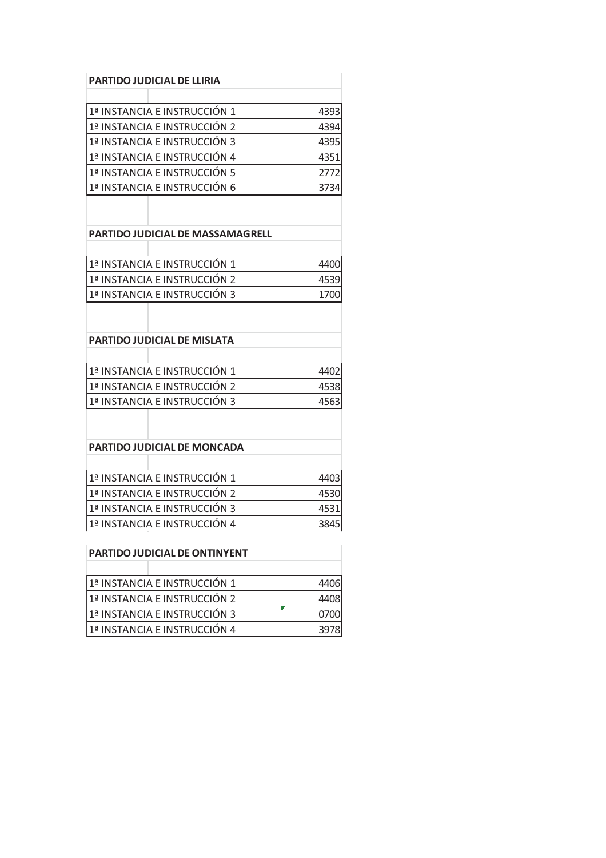| <b>PARTIDO JUDICIAL DE LLIRIA</b>       |      |
|-----------------------------------------|------|
|                                         |      |
| 1ª INSTANCIA E INSTRUCCIÓN 1            | 4393 |
| 1ª INSTANCIA E INSTRUCCIÓN 2            | 4394 |
| 1ª INSTANCIA E INSTRUCCIÓN 3            | 4395 |
| 1ª INSTANCIA E INSTRUCCIÓN 4            | 4351 |
| 1ª INSTANCIA E INSTRUCCIÓN 5            | 2772 |
| 1ª INSTANCIA E INSTRUCCIÓN 6            | 3734 |
|                                         |      |
|                                         |      |
| <b>PARTIDO JUDICIAL DE MASSAMAGRELL</b> |      |
|                                         |      |
| 1ª INSTANCIA E INSTRUCCIÓN 1            | 4400 |
| 1ª INSTANCIA E INSTRUCCIÓN 2            | 4539 |
| 1ª INSTANCIA E INSTRUCCIÓN 3            | 1700 |
|                                         |      |
|                                         |      |
| <b>PARTIDO JUDICIAL DE MISLATA</b>      |      |
|                                         |      |
| 1ª INSTANCIA E INSTRUCCIÓN 1            | 4402 |
| 1ª INSTANCIA E INSTRUCCIÓN 2            | 4538 |
| 1ª INSTANCIA E INSTRUCCIÓN 3            | 4563 |
|                                         |      |
|                                         |      |
| PARTIDO JUDICIAL DE MONCADA             |      |
|                                         |      |
| 1ª INSTANCIA E INSTRUCCIÓN 1            | 4403 |
| 1ª INSTANCIA E INSTRUCCIÓN 2            | 4530 |
| 1ª INSTANCIA E INSTRUCCIÓN 3            | 4531 |
| 1ª INSTANCIA E INSTRUCCIÓN 4            | 3845 |

| <b>PARTIDO JUDICIAL DE ONTINYENT</b> |      |
|--------------------------------------|------|
|                                      |      |
| 1ª INSTANCIA E INSTRUCCIÓN 1         | 4406 |
| 1ª INSTANCIA E INSTRUCCIÓN 2         | 4408 |
| 1ª INSTANCIA E INSTRUCCIÓN 3         | 0700 |
| 1ª INSTANCIA E INSTRUCCIÓN 4         | 3978 |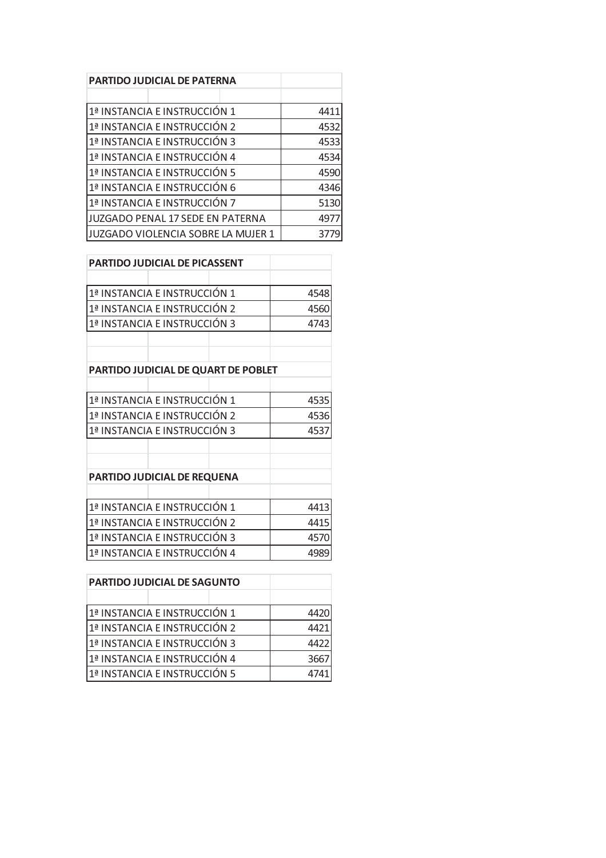| <b>PARTIDO JUDICIAL DE PATERNA</b>        |      |
|-------------------------------------------|------|
|                                           |      |
| 1ª INSTANCIA E INSTRUCCIÓN 1              | 4411 |
| 1ª INSTANCIA E INSTRUCCIÓN 2              | 4532 |
| 1ª INSTANCIA E INSTRUCCIÓN 3              | 4533 |
| 1ª INSTANCIA E INSTRUCCIÓN 4              | 4534 |
| 1ª INSTANCIA E INSTRUCCIÓN 5              | 4590 |
| 1ª INSTANCIA E INSTRUCCIÓN 6              | 4346 |
| 1ª INSTANCIA E INSTRUCCIÓN 7              | 5130 |
| <b>JUZGADO PENAL 17 SEDE EN PATERNA</b>   | 4977 |
| <b>JUZGADO VIOLENCIA SOBRE LA MUJER 1</b> | 3779 |

| <b>PARTIDO JUDICIAL DE PICASSENT</b> |  |      |      |
|--------------------------------------|--|------|------|
|                                      |  |      |      |
| 1ª INSTANCIA E INSTRUCCIÓN 1         |  |      | 4548 |
| 1ª INSTANCIA E INSTRUCCIÓN 2         |  |      | 4560 |
| 1ª INSTANCIA E INSTRUCCIÓN 3         |  |      | 4743 |
|                                      |  |      |      |
|                                      |  |      |      |
| PARTIDO JUDICIAL DE QUART DE POBLET  |  |      |      |
|                                      |  |      |      |
| 1ª INSTANCIA E INSTRUCCIÓN 1         |  |      | 4535 |
| 1ª INSTANCIA E INSTRUCCIÓN 2         |  |      | 4536 |
| 1ª INSTANCIA E INSTRUCCIÓN 3         |  |      | 4537 |
|                                      |  |      |      |
|                                      |  |      |      |
| PARTIDO JUDICIAL DE REQUENA          |  |      |      |
|                                      |  |      |      |
| 1ª INSTANCIA E INSTRUCCIÓN 1         |  |      | 4413 |
| 1ª INSTANCIA E INSTRUCCIÓN 2         |  | 4415 |      |
| 1ª INSTANCIA E INSTRUCCIÓN 3         |  | 4570 |      |
| 1ª INSTANCIA E INSTRUCCIÓN 4         |  |      | 4989 |

| <b>PARTIDO JUDICIAL DE SAGUNTO</b> |      |
|------------------------------------|------|
|                                    |      |
| 1ª INSTANCIA E INSTRUCCIÓN 1       | 4420 |
| 1ª INSTANCIA E INSTRUCCIÓN 2       | 4421 |
| 1ª INSTANCIA E INSTRUCCIÓN 3       | 4422 |
| 1ª INSTANCIA E INSTRUCCIÓN 4       | 3667 |
| 1ª INSTANCIA E INSTRUCCIÓN 5       | 474  |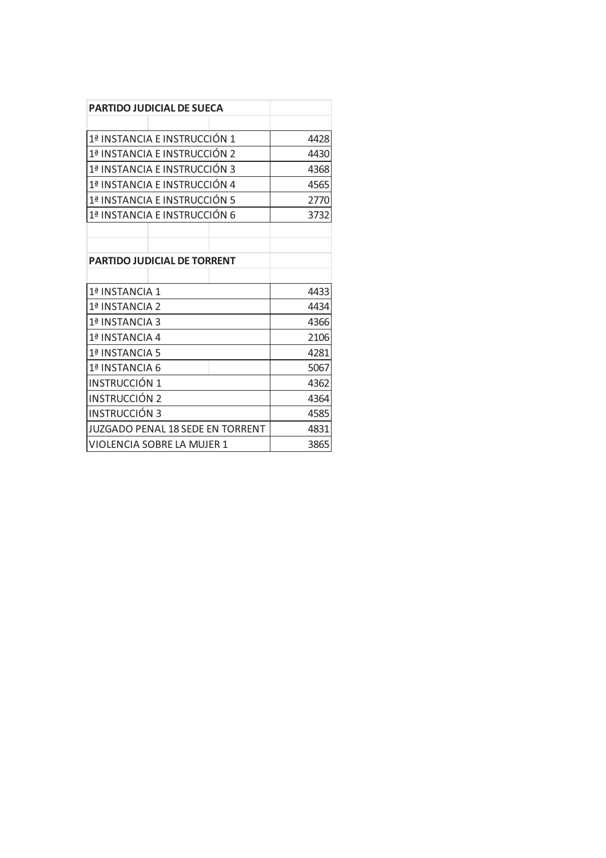|                      | <b>PARTIDO JUDICIAL DE SUECA</b>   |      |
|----------------------|------------------------------------|------|
|                      |                                    |      |
|                      | 1ª INSTANCIA E INSTRUCCIÓN 1       | 4428 |
|                      | 1ª INSTANCIA E INSTRUCCIÓN 2       | 4430 |
|                      | 1ª INSTANCIA E INSTRUCCIÓN 3       | 4368 |
|                      | 1ª INSTANCIA E INSTRUCCIÓN 4       | 4565 |
|                      | 1ª INSTANCIA E INSTRUCCIÓN 5       | 2770 |
|                      | 1ª INSTANCIA E INSTRUCCIÓN 6       | 3732 |
|                      |                                    |      |
|                      |                                    |      |
|                      | <b>PARTIDO JUDICIAL DE TORRENT</b> |      |
|                      |                                    |      |
| 1ª INSTANCIA 1       |                                    | 4433 |
| 1ª INSTANCIA 2       |                                    | 4434 |
| 1ª INSTANCIA 3       |                                    | 4366 |
| 1ª INSTANCIA 4       |                                    | 2106 |
| 1ª INSTANCIA 5       |                                    | 4281 |
| 1ª INSTANCIA 6       |                                    | 5067 |
| INSTRUCCIÓN 1        |                                    | 4362 |
| <b>INSTRUCCIÓN 2</b> |                                    | 4364 |
| <b>INSTRUCCIÓN 3</b> |                                    | 4585 |
|                      | JUZGADO PENAL 18 SEDE EN TORRENT   | 4831 |
|                      | VIOLENCIA SOBRE LA MUJER 1         | 3865 |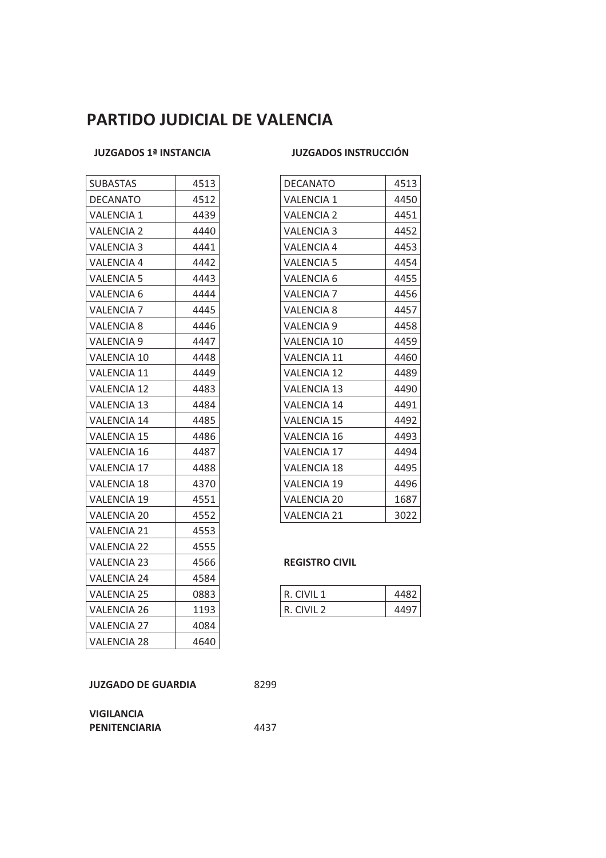## **PARTIDO JUDICIAL DE VALENCIA**

### **JUZGADOS 1ª INSTANCIA JUZGADOS INSTRUCCIÓN**

| <b>SUBASTAS</b>    | 4513 |
|--------------------|------|
| DECANATO           | 4512 |
| <b>VALENCIA 1</b>  | 4439 |
| VALENCIA 2         | 4440 |
| <b>VALENCIA 3</b>  | 4441 |
| <b>VALENCIA 4</b>  | 4442 |
| <b>VALENCIA 5</b>  | 4443 |
| VALENCIA 6         | 4444 |
| <b>VALENCIA 7</b>  | 4445 |
| <b>VALENCIA 8</b>  | 4446 |
| <b>VALENCIA 9</b>  | 4447 |
| <b>VALENCIA 10</b> | 4448 |
| <b>VALENCIA 11</b> | 4449 |
| <b>VALENCIA 12</b> | 4483 |
| VALENCIA 13        | 4484 |
| <b>VALENCIA 14</b> | 4485 |
| VALENCIA 15        | 4486 |
| <b>VALENCIA 16</b> | 4487 |
| <b>VALENCIA 17</b> | 4488 |
| <b>VALENCIA 18</b> | 4370 |
| <b>VALENCIA 19</b> | 4551 |
| <b>VALENCIA 20</b> | 4552 |
| <b>VALENCIA 21</b> | 4553 |
| <b>VALENCIA 22</b> | 4555 |
| <b>VALENCIA 23</b> | 4566 |
| VALENCIA 24        | 4584 |
| <b>VALENCIA 25</b> | 0883 |
| VALENCIA 26        | 1193 |
| <b>VALENCIA 27</b> | 4084 |
| <b>VALENCIA 28</b> | 4640 |

| <b>SUBASTAS</b>    | 4513 | <b>DECANATO</b>    | 4513 |
|--------------------|------|--------------------|------|
| DECANATO           | 4512 | <b>VALENCIA 1</b>  | 4450 |
| VALENCIA 1         | 4439 | <b>VALENCIA 2</b>  | 4451 |
| <b>VALENCIA 2</b>  | 4440 | <b>VALENCIA 3</b>  | 4452 |
| <b>VALENCIA 3</b>  | 4441 | <b>VALENCIA 4</b>  | 4453 |
| VALENCIA 4         | 4442 | <b>VALENCIA 5</b>  | 4454 |
| <b>VALENCIA 5</b>  | 4443 | <b>VALENCIA 6</b>  | 4455 |
| VALENCIA 6         | 4444 | <b>VALENCIA 7</b>  | 4456 |
| <b>VALENCIA 7</b>  | 4445 | VALENCIA 8         | 4457 |
| VALENCIA 8         | 4446 | <b>VALENCIA 9</b>  | 4458 |
| VALENCIA 9         | 4447 | VALENCIA 10        | 4459 |
| <b>VALENCIA 10</b> | 4448 | <b>VALENCIA 11</b> | 4460 |
| VALENCIA 11        | 4449 | <b>VALENCIA 12</b> | 4489 |
| <b>VALENCIA 12</b> | 4483 | <b>VALENCIA 13</b> | 4490 |
| <b>VALENCIA 13</b> | 4484 | <b>VALENCIA 14</b> | 4491 |
| <b>VALENCIA 14</b> | 4485 | <b>VALENCIA 15</b> | 4492 |
| <b>VALENCIA 15</b> | 4486 | <b>VALENCIA 16</b> | 4493 |
| VALENCIA 16        | 4487 | <b>VALENCIA 17</b> | 4494 |
| <b>VALENCIA 17</b> | 4488 | <b>VALENCIA 18</b> | 4495 |
| VALENCIA 18        | 4370 | <b>VALENCIA 19</b> | 4496 |
| VALENCIA 19        | 4551 | <b>VALENCIA 20</b> | 1687 |
| VALENCIA 20        | 4552 | <b>VALENCIA 21</b> | 3022 |
|                    |      |                    |      |

### **REGISTRO CIVIL**

| VALENCIA 25 | 0883 | CIVIL<br>R.   |      |
|-------------|------|---------------|------|
| VALENCIA 26 | 1193 | R.<br>CIVIL T | 4497 |

| <b>JUZGADO DE GUARDIA</b> | 8299 |
|---------------------------|------|
|                           |      |

| <b>VIGILANCIA</b>    |      |
|----------------------|------|
| <b>PENITENCIARIA</b> | 4437 |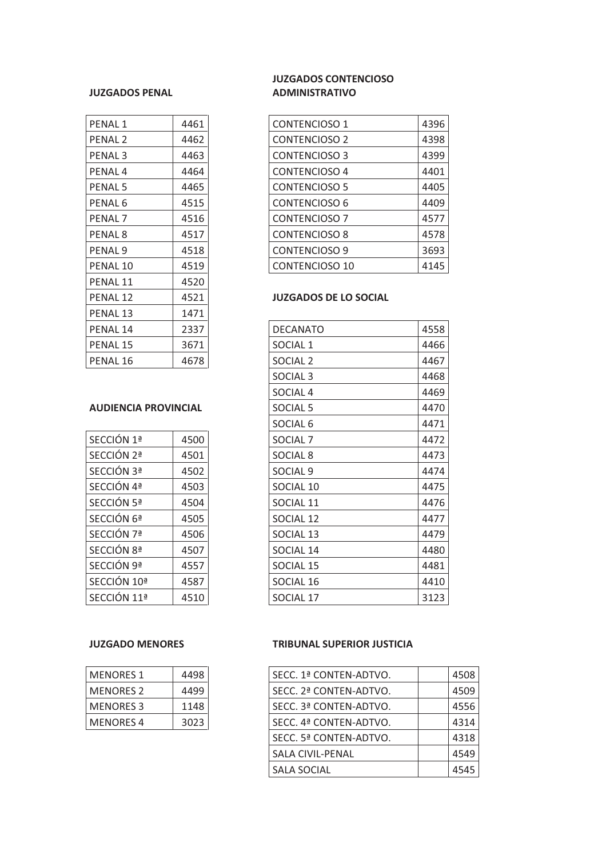### **JUZGADOS PENAL**

| PENAL <sub>1</sub> | 4461 |
|--------------------|------|
| PENAL 2            | 4462 |
| <b>PENAL3</b>      | 4463 |
| PENAL 4            | 4464 |
| PENAL 5            | 4465 |
| PENAL 6            | 4515 |
| PENAL 7            | 4516 |
| PENAL 8            | 4517 |
| <b>PENAL 9</b>     | 4518 |
| PENAL 10           | 4519 |
| PENAL 11           | 4520 |
| PENAL 12           | 4521 |
| PENAL 13           | 1471 |
| PENAL 14           | 2337 |
| PENAL 15           | 3671 |
| PENAL 16           | 4678 |

### **AUDIENCIA PROVINCIAL**

| SECCIÓN 1ª  | 4500 |
|-------------|------|
| SECCIÓN 2ª  | 4501 |
| SECCIÓN 3ª  | 4502 |
| SECCIÓN 4ª  | 4503 |
| SECCIÓN 5ª  | 4504 |
| SECCIÓN 6ª  | 4505 |
| SECCIÓN 7ª  | 4506 |
| SECCIÓN 8ª  | 4507 |
| SECCIÓN 9ª  | 4557 |
| SECCIÓN 10ª | 4587 |
| SECCIÓN 11ª | 4510 |

| <b>MENORES 1</b> | 4498 |
|------------------|------|
| <b>MENORES 2</b> | 4499 |
| <b>MENORES 3</b> | 1148 |
| <b>MENORES 4</b> | 3023 |

### **JUZGADOS CONTENCIOSO ADMINISTRATIVO**

| <b>PENAL1</b>      | 4461 | <b>CONTENCIOSO 1</b> | 4396 |
|--------------------|------|----------------------|------|
| PENAL <sub>2</sub> | 4462 | <b>CONTENCIOSO 2</b> | 4398 |
| PENAL 3            | 4463 | <b>CONTENCIOSO 3</b> | 4399 |
| PENAL <sub>4</sub> | 4464 | <b>CONTENCIOSO 4</b> | 4401 |
| <b>PENAL 5</b>     | 4465 | <b>CONTENCIOSO 5</b> | 4405 |
| PENAL 6            | 4515 | <b>CONTENCIOSO 6</b> | 4409 |
| PENAL <sub>7</sub> | 4516 | <b>CONTENCIOSO 7</b> | 4577 |
| PENAL <sub>8</sub> | 4517 | <b>CONTENCIOSO 8</b> | 4578 |
| PENAL 9            | 4518 | <b>CONTENCIOSO 9</b> | 3693 |
| PENAL 10           | 4519 | CONTENCIOSO 10       | 4145 |
|                    |      |                      |      |

### **JUZGADOS DE LO SOCIAL**

| PENAL 14                    | 2337 | <b>DECANATO</b>     | 4558 |
|-----------------------------|------|---------------------|------|
| PENAL 15                    | 3671 | SOCIAL <sub>1</sub> | 4466 |
| PENAL 16                    | 4678 | SOCIAL <sub>2</sub> | 4467 |
|                             |      | SOCIAL <sub>3</sub> | 4468 |
|                             |      | SOCIAL <sub>4</sub> | 4469 |
| <b>AUDIENCIA PROVINCIAL</b> |      | SOCIAL <sub>5</sub> | 4470 |
|                             |      | SOCIAL <sub>6</sub> | 4471 |
| SECCIÓN 1ª                  | 4500 | SOCIAL <sub>7</sub> | 4472 |
| SECCIÓN 2ª                  | 4501 | SOCIAL <sub>8</sub> | 4473 |
| SECCIÓN 3ª                  | 4502 | SOCIAL <sub>9</sub> | 4474 |
| SECCIÓN 4ª                  | 4503 | SOCIAL 10           | 4475 |
| SECCIÓN 5ª                  | 4504 | SOCIAL 11           | 4476 |
| SECCIÓN 6ª                  | 4505 | SOCIAL 12           | 4477 |
| SECCIÓN 7ª                  | 4506 | SOCIAL 13           | 4479 |
| SECCIÓN 8ª                  | 4507 | SOCIAL 14           | 4480 |
| SECCIÓN 9ª                  | 4557 | SOCIAL 15           | 4481 |
| SECCIÓN 10ª                 | 4587 | SOCIAL 16           | 4410 |
| SECCIÓN 11ª                 | 4510 | SOCIAL 17           | 3123 |

### **JUZGADO MENORES TRIBUNAL SUPERIOR JUSTICIA**

| <b>MENORES 1</b> | 4498 | SECC. 1ª CONTEN-ADTVO. | 4508 |
|------------------|------|------------------------|------|
| MENORES 2        | 4499 | SECC. 2ª CONTEN-ADTVO. | 4509 |
| <b>MENORES 3</b> | 1148 | SECC. 3ª CONTEN-ADTVO. | 4556 |
| <b>MENORES 4</b> | 3023 | SECC. 4ª CONTEN-ADTVO. | 4314 |
|                  |      | SECC. 5ª CONTEN-ADTVO. | 4318 |
|                  |      | SALA CIVIL-PENAL       | 4549 |
|                  |      | <b>SALA SOCIAL</b>     | 4545 |
|                  |      |                        |      |